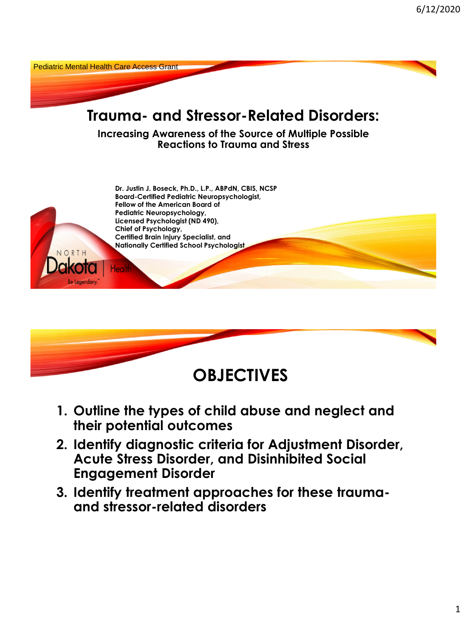



- **1. Outline the types of child abuse and neglect and their potential outcomes**
- **2. Identify diagnostic criteria for Adjustment Disorder, Acute Stress Disorder, and Disinhibited Social Engagement Disorder**
- **3. Identify treatment approaches for these traumaand stressor-related disorders**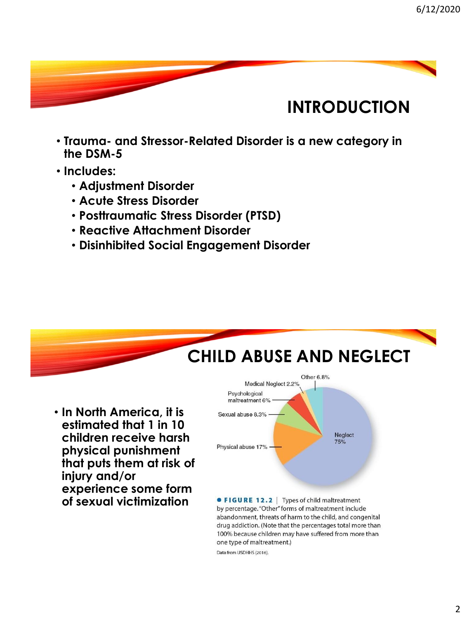### **INTRODUCTION**

- **Trauma- and Stressor-Related Disorder is a new category in the DSM-5**
- **Includes:**
	- **Adjustment Disorder**
	- **Acute Stress Disorder**
	- **Posttraumatic Stress Disorder (PTSD)**
	- **Reactive Attachment Disorder**
	- **Disinhibited Social Engagement Disorder**



one type of maltreatment.)

Data from USDHHS (2016).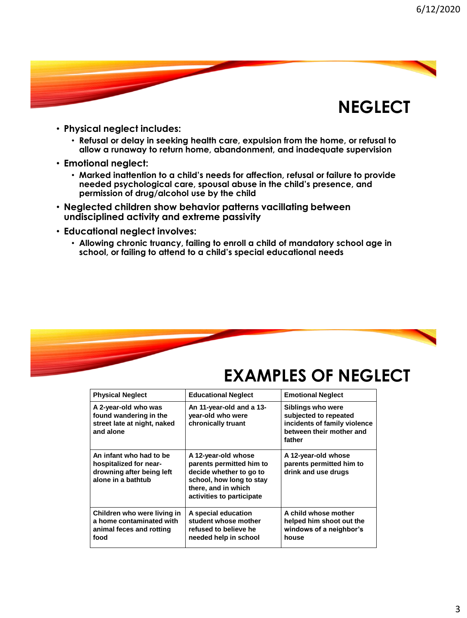

- **Physical neglect includes:**
	- **Refusal or delay in seeking health care, expulsion from the home, or refusal to allow a runaway to return home, abandonment, and inadequate supervision**
- **Emotional neglect:**
	- **Marked inattention to a child's needs for affection, refusal or failure to provide needed psychological care, spousal abuse in the child's presence, and permission of drug/alcohol use by the child**
- **Neglected children show behavior patterns vacillating between undisciplined activity and extreme passivity**
- **Educational neglect involves:**
	- **Allowing chronic truancy, failing to enroll a child of mandatory school age in school, or failing to attend to a child's special educational needs**



#### **EXAMPLES OF NEGLECT**

| <b>Physical Neglect</b>                                                                              | <b>Educational Neglect</b>                                                                                                                                 | <b>Emotional Neglect</b>                                                                                         |
|------------------------------------------------------------------------------------------------------|------------------------------------------------------------------------------------------------------------------------------------------------------------|------------------------------------------------------------------------------------------------------------------|
| A 2-year-old who was<br>found wandering in the<br>street late at night, naked<br>and alone           | An 11-year-old and a 13-<br>year-old who were<br>chronically truant                                                                                        | Siblings who were<br>subjected to repeated<br>incidents of family violence<br>between their mother and<br>father |
| An infant who had to be<br>hospitalized for near-<br>drowning after being left<br>alone in a bathtub | A 12-year-old whose<br>parents permitted him to<br>decide whether to go to<br>school, how long to stay<br>there, and in which<br>activities to participate | A 12-year-old whose<br>parents permitted him to<br>drink and use drugs                                           |
| Children who were living in<br>a home contaminated with<br>animal feces and rotting<br>food          | A special education<br>student whose mother<br>refused to believe he<br>needed help in school                                                              | A child whose mother<br>helped him shoot out the<br>windows of a neighbor's<br>house                             |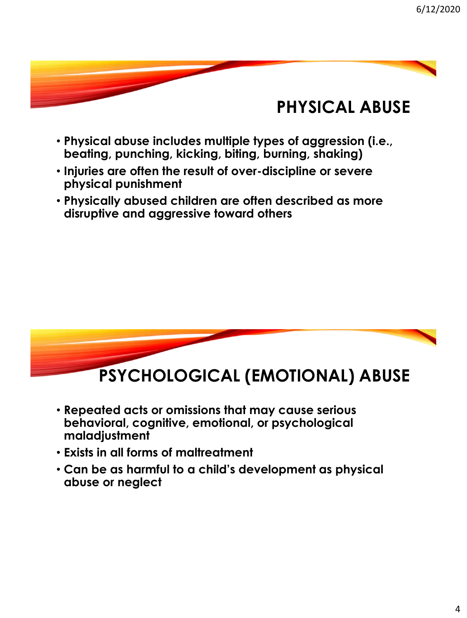#### **PHYSICAL ABUSE**

- **Physical abuse includes multiple types of aggression (i.e., beating, punching, kicking, biting, burning, shaking)**
- **Injuries are often the result of over-discipline or severe physical punishment**
- **Physically abused children are often described as more disruptive and aggressive toward others**



- **Repeated acts or omissions that may cause serious behavioral, cognitive, emotional, or psychological maladjustment**
- **Exists in all forms of maltreatment**
- **Can be as harmful to a child's development as physical abuse or neglect**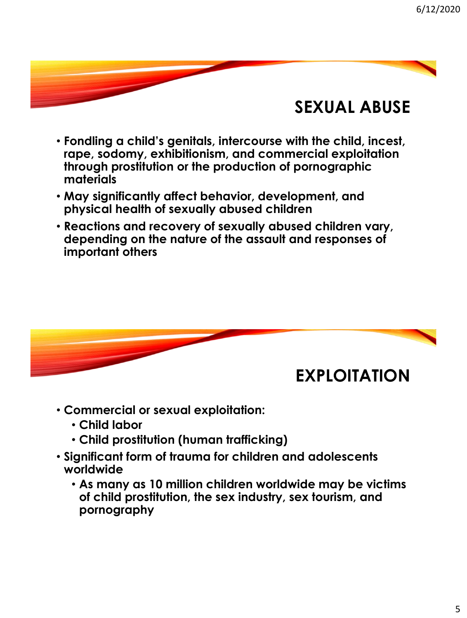#### **SEXUAL ABUSE**

- **Fondling a child's genitals, intercourse with the child, incest, rape, sodomy, exhibitionism, and commercial exploitation through prostitution or the production of pornographic materials**
- **May significantly affect behavior, development, and physical health of sexually abused children**
- **Reactions and recovery of sexually abused children vary, depending on the nature of the assault and responses of important others**



- **Commercial or sexual exploitation:**
	- **Child labor**
	- **Child prostitution (human trafficking)**
- **Significant form of trauma for children and adolescents worldwide** 
	- **As many as 10 million children worldwide may be victims of child prostitution, the sex industry, sex tourism, and pornography**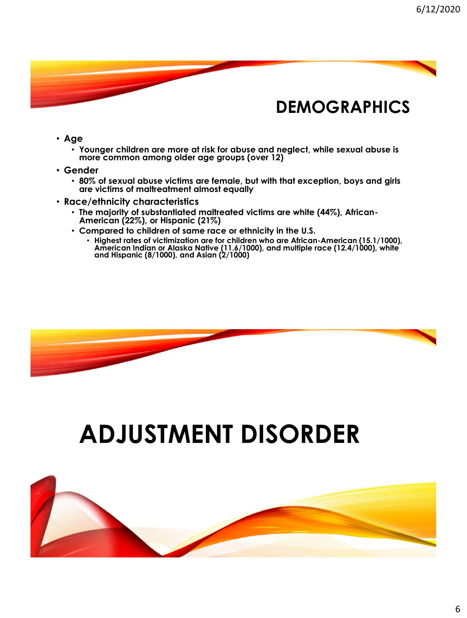#### **DEMOGRAPHICS**

- **Age** 
	- **Younger children are more at risk for abuse and neglect, while sexual abuse is more common among older age groups (over 12)**
- **Gender** 
	- **80% of sexual abuse victims are female, but with that exception, boys and girls are victims of maltreatment almost equally**
- **Race/ethnicity characteristics** 
	- **The majority of substantiated maltreated victims are white (44%), African-American (22%), or Hispanic (21%)**
	- **Compared to children of same race or ethnicity in the U.S.**
		- **Highest rates of victimization are for children who are African-American (15.1/1000), American Indian or Alaska Native (11.6/1000), and multiple race (12.4/1000), white and Hispanic (8/1000), and Asian (2/1000)**



## **ADJUSTMENT DISORDER**

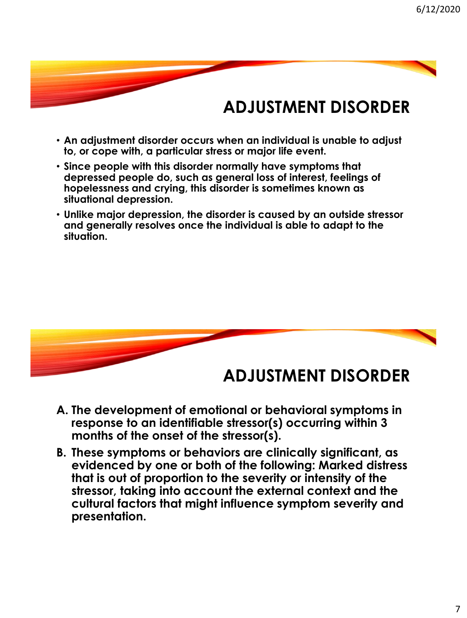### **ADJUSTMENT DISORDER**

- **An adjustment disorder occurs when an individual is unable to adjust to, or cope with, a particular stress or major life event.**
- **Since people with this disorder normally have symptoms that depressed people do, such as general loss of interest, feelings of hopelessness and crying, this disorder is sometimes known as situational depression.**
- **Unlike major depression, the disorder is caused by an outside stressor and generally resolves once the individual is able to adapt to the situation.**



- **A. The development of emotional or behavioral symptoms in response to an identifiable stressor(s) occurring within 3 months of the onset of the stressor(s).**
- **B. These symptoms or behaviors are clinically significant, as evidenced by one or both of the following: Marked distress that is out of proportion to the severity or intensity of the stressor, taking into account the external context and the cultural factors that might influence symptom severity and presentation.**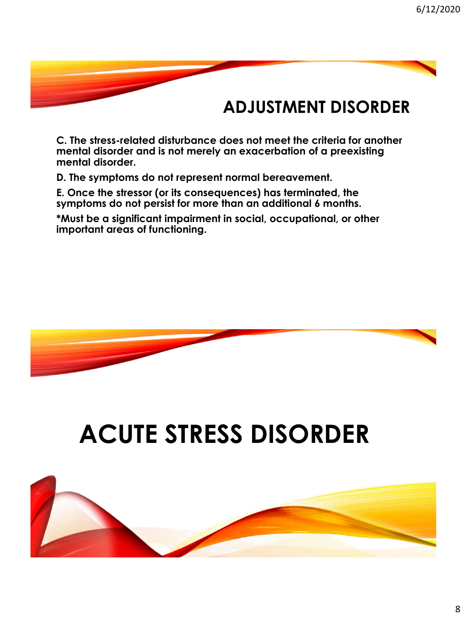#### **ADJUSTMENT DISORDER**

**C. The stress-related disturbance does not meet the criteria for another mental disorder and is not merely an exacerbation of a preexisting mental disorder.**

**D. The symptoms do not represent normal bereavement.**

**E. Once the stressor (or its consequences) has terminated, the symptoms do not persist for more than an additional 6 months.**

**\*Must be a significant impairment in social, occupational, or other important areas of functioning.**



# **ACUTE STRESS DISORDER**

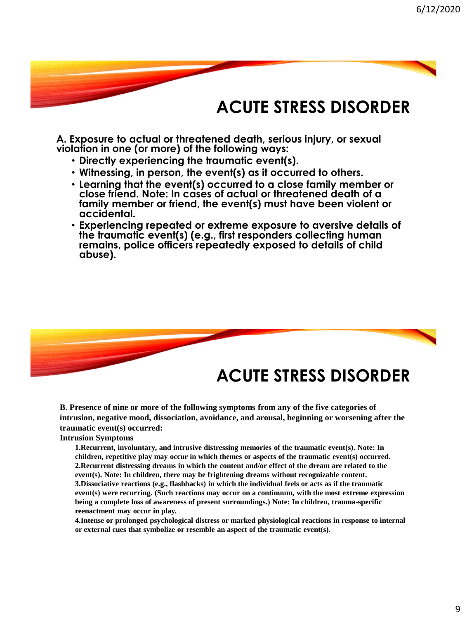#### **ACUTE STRESS DISORDER**

**A. Exposure to actual or threatened death, serious injury, or sexual violation in one (or more) of the following ways:**

- **Directly experiencing the traumatic event(s).**
- **Witnessing, in person, the event(s) as it occurred to others.**
- **Learning that the event(s) occurred to a close family member or close friend. Note: In cases of actual or threatened death of a family member or friend, the event(s) must have been violent or accidental.**
- **Experiencing repeated or extreme exposure to aversive details of the traumatic event(s) (e.g., first responders collecting human remains, police officers repeatedly exposed to details of child abuse).**



#### **ACUTE STRESS DISORDER**

**B. Presence of nine or more of the following symptoms from any of the five categories of intrusion, negative mood, dissociation, avoidance, and arousal, beginning or worsening after the traumatic event(s) occurred:**

#### **Intrusion Symptoms**

**1.Recurrent, involuntary, and intrusive distressing memories of the traumatic event(s). Note: In children, repetitive play may occur in which themes or aspects of the traumatic event(s) occurred. 2.Recurrent distressing dreams in which the content and/or effect of the dream are related to the event(s). Note: In children, there may be frightening dreams without recognizable content. 3.Dissociative reactions (e.g., flashbacks) in which the individual feels or acts as if the traumatic event(s) were recurring. (Such reactions may occur on a continuum, with the most extreme expression being a complete loss of awareness of present surroundings.) Note: In children, trauma-specific reenactment may occur in play.**

**4.Intense or prolonged psychological distress or marked physiological reactions in response to internal or external cues that symbolize or resemble an aspect of the traumatic event(s).**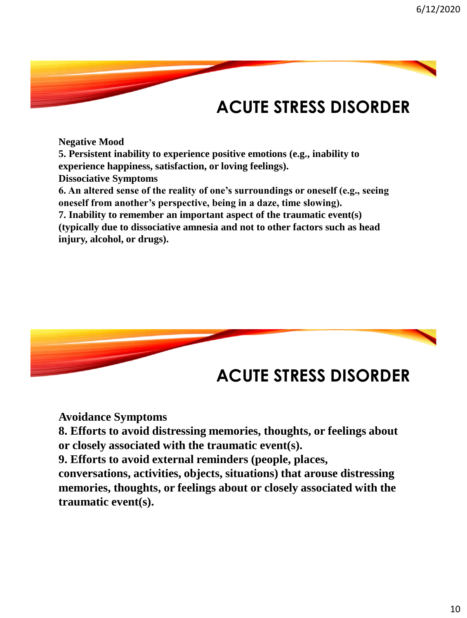## **ACUTE STRESS DISORDER**

**Negative Mood 5. Persistent inability to experience positive emotions (e.g., inability to experience happiness, satisfaction, or loving feelings). Dissociative Symptoms 6. An altered sense of the reality of one's surroundings or oneself (e.g., seeing oneself from another's perspective, being in a daze, time slowing). 7. Inability to remember an important aspect of the traumatic event(s) (typically due to dissociative amnesia and not to other factors such as head injury, alcohol, or drugs).**



#### **ACUTE STRESS DISORDER**

**Avoidance Symptoms**

**8. Efforts to avoid distressing memories, thoughts, or feelings about or closely associated with the traumatic event(s).** 

**9. Efforts to avoid external reminders (people, places,** 

**conversations, activities, objects, situations) that arouse distressing memories, thoughts, or feelings about or closely associated with the traumatic event(s).**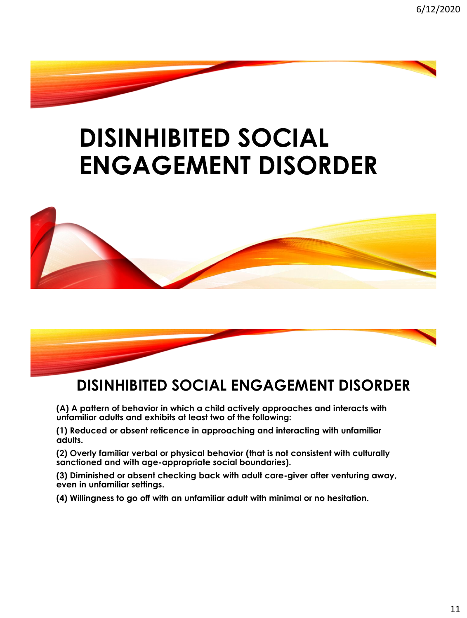## **DISINHIBITED SOCIAL ENGAGEMENT DISORDER**





#### **DISINHIBITED SOCIAL ENGAGEMENT DISORDER**

**(A) A pattern of behavior in which a child actively approaches and interacts with unfamiliar adults and exhibits at least two of the following:**

**(1) Reduced or absent reticence in approaching and interacting with unfamiliar adults.**

**(2) Overly familiar verbal or physical behavior (that is not consistent with culturally sanctioned and with age-appropriate social boundaries).**

**(3) Diminished or absent checking back with adult care-giver after venturing away, even in unfamiliar settings.**

**(4) Willingness to go off with an unfamiliar adult with minimal or no hesitation.**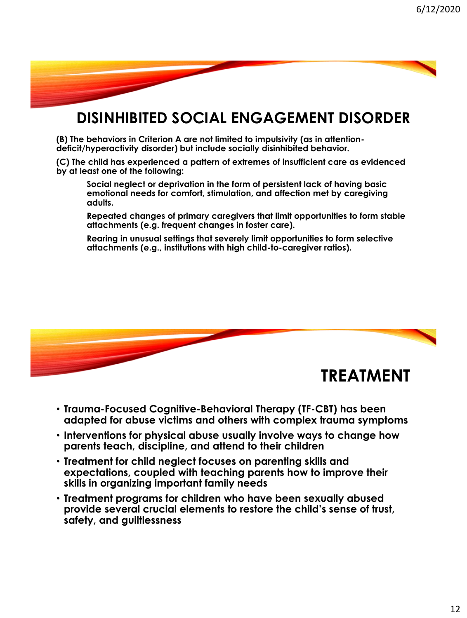

#### **DISINHIBITED SOCIAL ENGAGEMENT DISORDER**

**(B) The behaviors in Criterion A are not limited to impulsivity (as in attentiondeficit/hyperactivity disorder) but include socially disinhibited behavior.**

**(C) The child has experienced a pattern of extremes of insufficient care as evidenced by at least one of the following:**

**Social neglect or deprivation in the form of persistent lack of having basic emotional needs for comfort, stimulation, and affection met by caregiving adults.**

**Repeated changes of primary caregivers that limit opportunities to form stable attachments (e.g. frequent changes in foster care).**

**Rearing in unusual settings that severely limit opportunities to form selective attachments (e.g., institutions with high child-to-caregiver ratios).**



- **Trauma-Focused Cognitive-Behavioral Therapy (TF-CBT) has been adapted for abuse victims and others with complex trauma symptoms**
- **Interventions for physical abuse usually involve ways to change how parents teach, discipline, and attend to their children**
- **Treatment for child neglect focuses on parenting skills and expectations, coupled with teaching parents how to improve their skills in organizing important family needs**
- **Treatment programs for children who have been sexually abused provide several crucial elements to restore the child's sense of trust, safety, and guiltlessness**